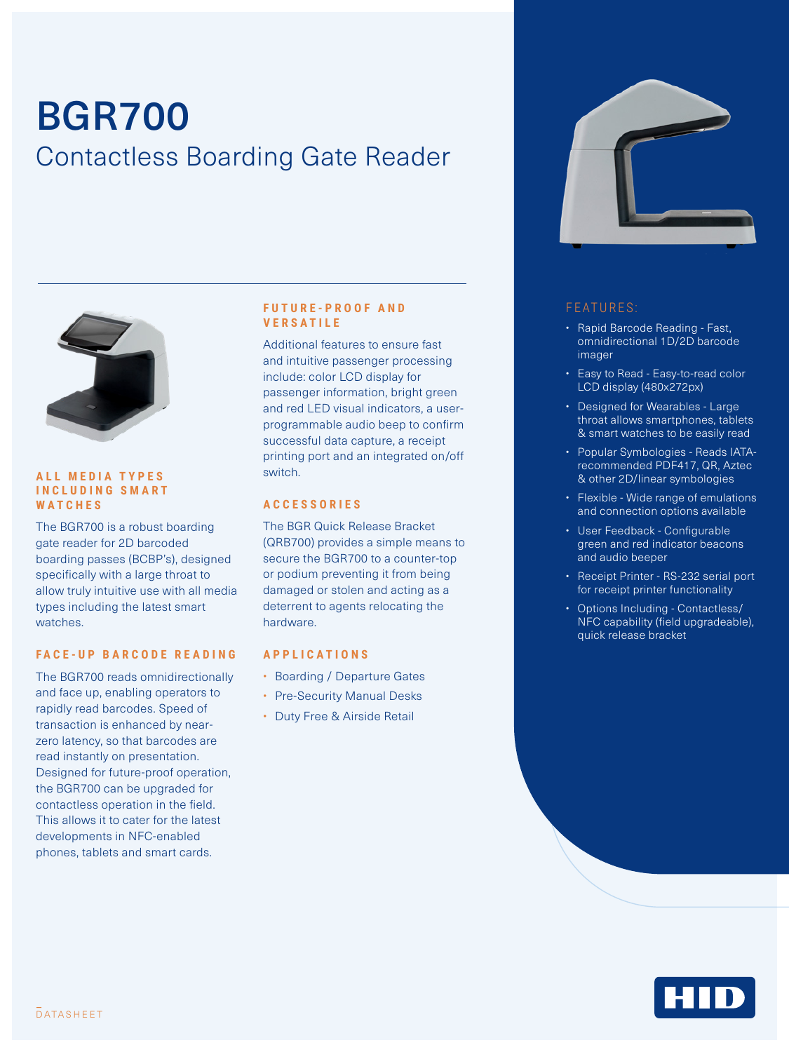# BGR700 Contactless Boarding Gate Reader



#### **ALL MEDIA TYPES I N C L U D I N G S M A R T WATCHES**

The BGR700 is a robust boarding gate reader for 2D barcoded boarding passes (BCBP's), designed specifically with a large throat to allow truly intuitive use with all media types including the latest smart watches.

#### **FACE-UP BARCODE READING**

The BGR700 reads omnidirectionally and face up, enabling operators to rapidly read barcodes. Speed of transaction is enhanced by nearzero latency, so that barcodes are read instantly on presentation. Designed for future-proof operation, the BGR700 can be upgraded for contactless operation in the field. This allows it to cater for the latest developments in NFC-enabled phones, tablets and smart cards.

#### **F U T U R E - P R O O F A N D V E R S A T I L E**

Additional features to ensure fast and intuitive passenger processing include: color LCD display for passenger information, bright green and red LED visual indicators, a userprogrammable audio beep to confirm successful data capture, a receipt printing port and an integrated on/off switch.

#### **A C C E S S O R I E S**

The BGR Quick Release Bracket (QRB700) provides a simple means to secure the BGR700 to a counter-top or podium preventing it from being damaged or stolen and acting as a deterrent to agents relocating the hardware.

#### **APPLICATIONS**

- Boarding / Departure Gates
- Pre-Security Manual Desks
- Duty Free & Airside Retail



### FEATURES:

- Rapid Barcode Reading Fast, omnidirectional 1D/2D barcode imager
- Easy to Read Easy-to-read color LCD display (480x272px)
- Designed for Wearables Large throat allows smartphones, tablets & smart watches to be easily read
- Popular Symbologies Reads IATArecommended PDF417, QR, Aztec & other 2D/linear symbologies
- Flexible Wide range of emulations and connection options available
- User Feedback Configurable green and red indicator beacons and audio beeper
- Receipt Printer RS-232 serial port for receipt printer functionality
- Options Including Contactless/ NFC capability (field upgradeable), quick release bracket